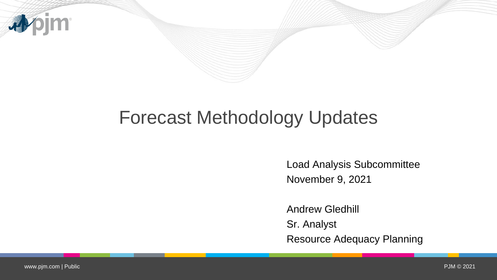

# Forecast Methodology Updates

Load Analysis Subcommittee November 9, 2021

Andrew Gledhill Sr. Analyst Resource Adequacy Planning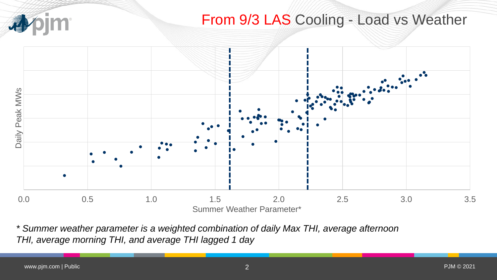

*\* Summer weather parameter is a weighted combination of daily Max THI, average afternoon THI, average morning THI, and average THI lagged 1 day*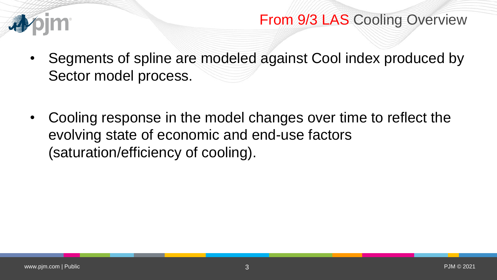

### From 9/3 LAS Cooling Overview

- Segments of spline are modeled against Cool index produced by Sector model process.
- Cooling response in the model changes over time to reflect the evolving state of economic and end-use factors (saturation/efficiency of cooling).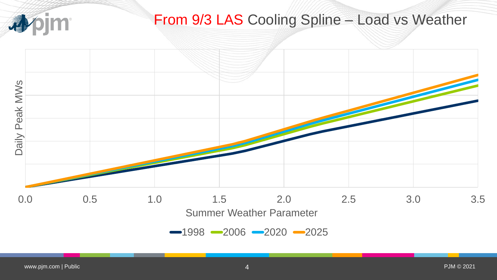

## From 9/3 LAS Cooling Spline – Load vs Weather

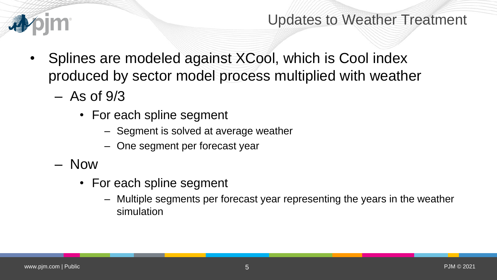

#### Updates to Weather Treatment

- Splines are modeled against XCool, which is Cool index produced by sector model process multiplied with weather
	- $-$  As of 9/3
		- For each spline segment
			- Segment is solved at average weather
			- One segment per forecast year
	- Now
		- For each spline segment
			- Multiple segments per forecast year representing the years in the weather simulation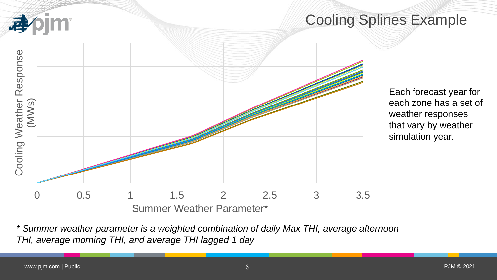

# Cooling Splines Example



Each forecast year for each zone has a set of weather responses that vary by weather simulation year.

*\* Summer weather parameter is a weighted combination of daily Max THI, average afternoon THI, average morning THI, and average THI lagged 1 day*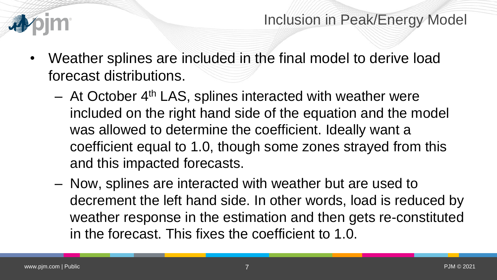

- Weather splines are included in the final model to derive load forecast distributions.
	- At October 4th LAS, splines interacted with weather were included on the right hand side of the equation and the model was allowed to determine the coefficient. Ideally want a coefficient equal to 1.0, though some zones strayed from this and this impacted forecasts.
	- Now, splines are interacted with weather but are used to decrement the left hand side. In other words, load is reduced by weather response in the estimation and then gets re-constituted in the forecast. This fixes the coefficient to 1.0.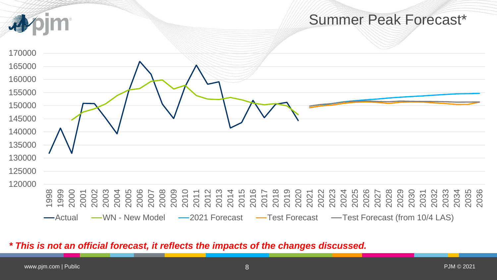

#### *\* This is not an official forecast, it reflects the impacts of the changes discussed.*

www.pjm.com | Public Public Public Public Public Public Reserves and the set of the set of the set of the set of the set of the set of the set of the set of the set of the set of the set of the set of the set of the set of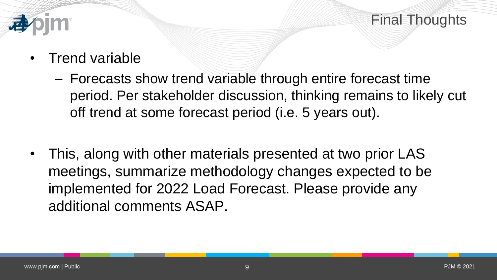Final Thoughts



- Trend variable
	- Forecasts show trend variable through entire forecast time period. Per stakeholder discussion, thinking remains to likely cut off trend at some forecast period (i.e. 5 years out).
- This, along with other materials presented at two prior LAS meetings, summarize methodology changes expected to be implemented for 2022 Load Forecast. Please provide any additional comments ASAP.